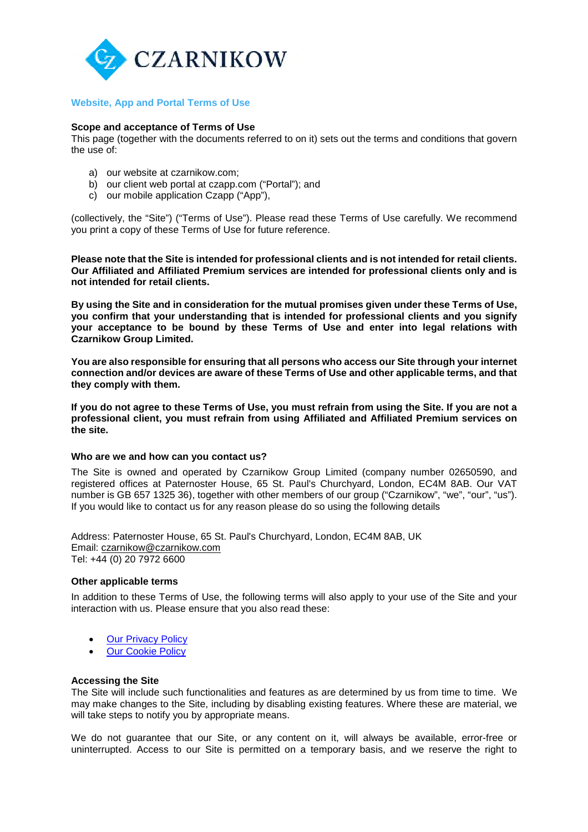

# **Website, App and Portal Terms of Use**

#### **Scope and acceptance of Terms of Use**

This page (together with the documents referred to on it) sets out the terms and conditions that govern the use of:

- a) our website at czarnikow.com;
- b) our client web portal at czapp.com ("Portal"); and
- c) our mobile application Czapp ("App"),

(collectively, the "Site") ("Terms of Use"). Please read these Terms of Use carefully. We recommend you print a copy of these Terms of Use for future reference.

**Please note that the Site is intended for professional clients and is not intended for retail clients. Our Affiliated and Affiliated Premium services are intended for professional clients only and is not intended for retail clients.**

**By using the Site and in consideration for the mutual promises given under these Terms of Use, you confirm that your understanding that is intended for professional clients and you signify your acceptance to be bound by these Terms of Use and enter into legal relations with Czarnikow Group Limited.**

**You are also responsible for ensuring that all persons who access our Site through your internet connection and/or devices are aware of these Terms of Use and other applicable terms, and that they comply with them.**

**If you do not agree to these Terms of Use, you must refrain from using the Site. If you are not a professional client, you must refrain from using Affiliated and Affiliated Premium services on the site.**

#### **Who are we and how can you contact us?**

The Site is owned and operated by Czarnikow Group Limited (company number 02650590, and registered offices at Paternoster House, 65 St. Paul's Churchyard, London, EC4M 8AB. Our VAT number is GB 657 1325 36), together with other members of our group ("Czarnikow", "we", "our", "us"). If you would like to contact us for any reason please do so using the following details

Address: Paternoster House, 65 St. Paul's Churchyard, London, EC4M 8AB, UK Email: czarnikow@czarnikow.com Tel: +44 (0) 20 7972 6600

### **Other applicable terms**

In addition to these Terms of Use, the following terms will also apply to your use of the Site and your interaction with us. Please ensure that you also read these:

- Our Privacy Policy
- **Our Cookie Policy**

#### **Accessing the Site**

The Site will include such functionalities and features as are determined by us from time to time. We may make changes to the Site, including by disabling existing features. Where these are material, we will take steps to notify you by appropriate means.

We do not guarantee that our Site, or any content on it, will always be available, error-free or uninterrupted. Access to our Site is permitted on a temporary basis, and we reserve the right to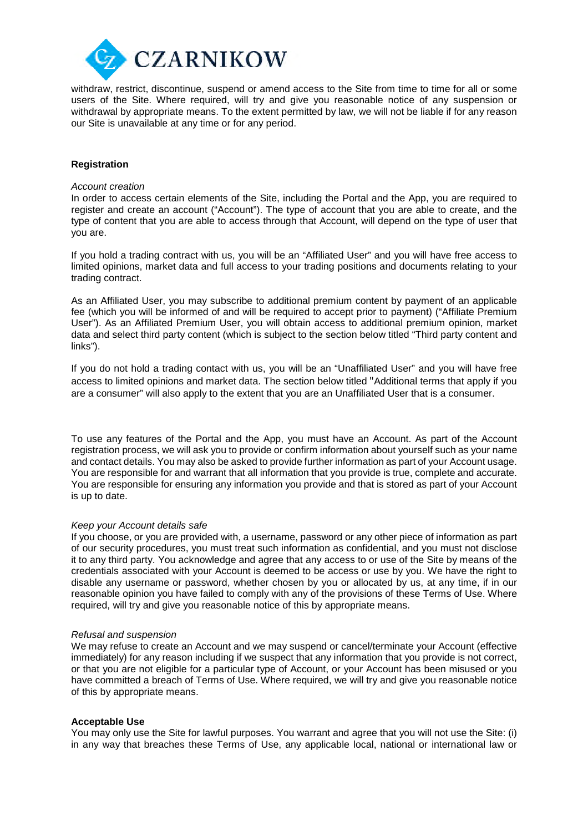

withdraw, restrict, discontinue, suspend or amend access to the Site from time to time for all or some users of the Site. Where required, will try and give you reasonable notice of any suspension or withdrawal by appropriate means. To the extent permitted by law, we will not be liable if for any reason our Site is unavailable at any time or for any period.

# **Registration**

#### *Account creation*

In order to access certain elements of the Site, including the Portal and the App, you are required to register and create an account ("Account"). The type of account that you are able to create, and the type of content that you are able to access through that Account, will depend on the type of user that you are.

If you hold a trading contract with us, you will be an "Affiliated User" and you will have free access to limited opinions, market data and full access to your trading positions and documents relating to your trading contract.

As an Affiliated User, you may subscribe to additional premium content by payment of an applicable fee (which you will be informed of and will be required to accept prior to payment) ("Affiliate Premium User"). As an Affiliated Premium User, you will obtain access to additional premium opinion, market data and select third party content (which is subject to the section below titled "Third party content and links").

If you do not hold a trading contact with us, you will be an "Unaffiliated User" and you will have free access to limited opinions and market data. The section below titled "Additional terms that apply if you are a consumer" will also apply to the extent that you are an Unaffiliated User that is a consumer.

To use any features of the Portal and the App, you must have an Account. As part of the Account registration process, we will ask you to provide or confirm information about yourself such as your name and contact details. You may also be asked to provide further information as part of your Account usage. You are responsible for and warrant that all information that you provide is true, complete and accurate. You are responsible for ensuring any information you provide and that is stored as part of your Account is up to date.

### *Keep your Account details safe*

If you choose, or you are provided with, a username, password or any other piece of information as part of our security procedures, you must treat such information as confidential, and you must not disclose it to any third party. You acknowledge and agree that any access to or use of the Site by means of the credentials associated with your Account is deemed to be access or use by you. We have the right to disable any username or password, whether chosen by you or allocated by us, at any time, if in our reasonable opinion you have failed to comply with any of the provisions of these Terms of Use. Where required, will try and give you reasonable notice of this by appropriate means.

#### *Refusal and suspension*

We may refuse to create an Account and we may suspend or cancel/terminate your Account (effective immediately) for any reason including if we suspect that any information that you provide is not correct, or that you are not eligible for a particular type of Account, or your Account has been misused or you have committed a breach of Terms of Use. Where required, we will try and give you reasonable notice of this by appropriate means.

### **Acceptable Use**

You may only use the Site for lawful purposes. You warrant and agree that you will not use the Site: (i) in any way that breaches these Terms of Use, any applicable local, national or international law or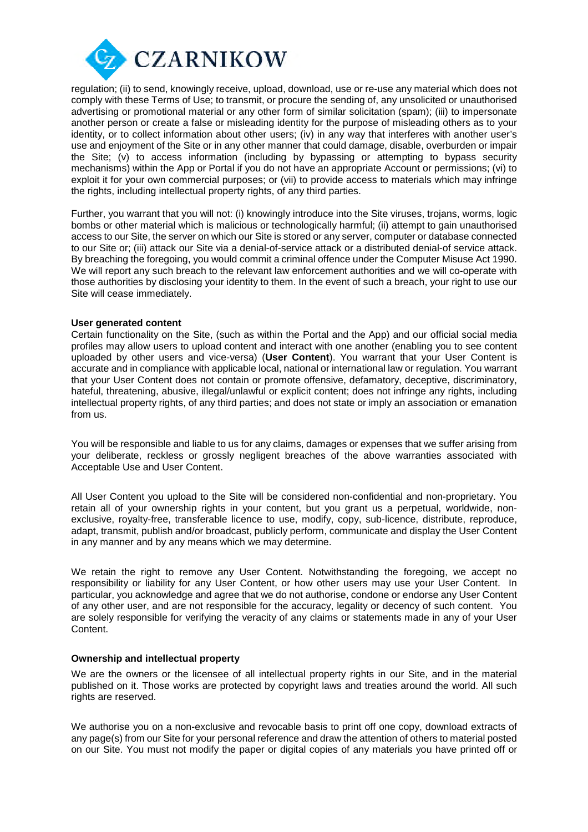

regulation; (ii) to send, knowingly receive, upload, download, use or re-use any material which does not comply with these Terms of Use; to transmit, or procure the sending of, any unsolicited or unauthorised advertising or promotional material or any other form of similar solicitation (spam); (iii) to impersonate another person or create a false or misleading identity for the purpose of misleading others as to your identity, or to collect information about other users; (iv) in any way that interferes with another user's use and enjoyment of the Site or in any other manner that could damage, disable, overburden or impair the Site; (v) to access information (including by bypassing or attempting to bypass security mechanisms) within the App or Portal if you do not have an appropriate Account or permissions; (vi) to exploit it for your own commercial purposes; or (vii) to provide access to materials which may infringe the rights, including intellectual property rights, of any third parties.

Further, you warrant that you will not: (i) knowingly introduce into the Site viruses, trojans, worms, logic bombs or other material which is malicious or technologically harmful; (ii) attempt to gain unauthorised access to our Site, the server on which our Site is stored or any server, computer or database connected to our Site or; (iii) attack our Site via a denial-of-service attack or a distributed denial-of service attack. By breaching the foregoing, you would commit a criminal offence under the Computer Misuse Act 1990. We will report any such breach to the relevant law enforcement authorities and we will co-operate with those authorities by disclosing your identity to them. In the event of such a breach, your right to use our Site will cease immediately.

### **User generated content**

Certain functionality on the Site, (such as within the Portal and the App) and our official social media profiles may allow users to upload content and interact with one another (enabling you to see content uploaded by other users and vice-versa) (**User Content**). You warrant that your User Content is accurate and in compliance with applicable local, national or international law or regulation. You warrant that your User Content does not contain or promote offensive, defamatory, deceptive, discriminatory, hateful, threatening, abusive, illegal/unlawful or explicit content; does not infringe any rights, including intellectual property rights, of any third parties; and does not state or imply an association or emanation from us.

You will be responsible and liable to us for any claims, damages or expenses that we suffer arising from your deliberate, reckless or grossly negligent breaches of the above warranties associated with Acceptable Use and User Content.

All User Content you upload to the Site will be considered non-confidential and non-proprietary. You retain all of your ownership rights in your content, but you grant us a perpetual, worldwide, nonexclusive, royalty-free, transferable licence to use, modify, copy, sub-licence, distribute, reproduce, adapt, transmit, publish and/or broadcast, publicly perform, communicate and display the User Content in any manner and by any means which we may determine.

We retain the right to remove any User Content. Notwithstanding the foregoing, we accept no responsibility or liability for any User Content, or how other users may use your User Content. In particular, you acknowledge and agree that we do not authorise, condone or endorse any User Content of any other user, and are not responsible for the accuracy, legality or decency of such content. You are solely responsible for verifying the veracity of any claims or statements made in any of your User Content.

## **Ownership and intellectual property**

We are the owners or the licensee of all intellectual property rights in our Site, and in the material published on it. Those works are protected by copyright laws and treaties around the world. All such rights are reserved.

We authorise you on a non-exclusive and revocable basis to print off one copy, download extracts of any page(s) from our Site for your personal reference and draw the attention of others to material posted on our Site. You must not modify the paper or digital copies of any materials you have printed off or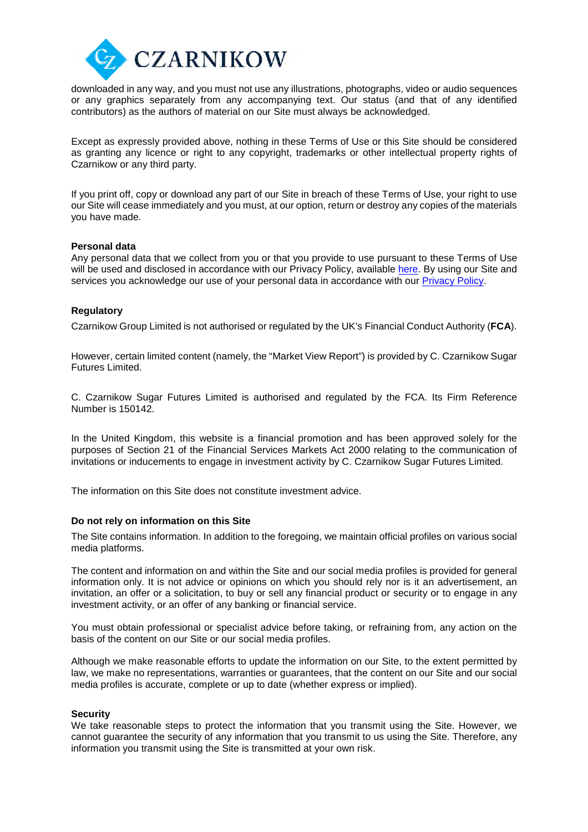

downloaded in any way, and you must not use any illustrations, photographs, video or audio sequences or any graphics separately from any accompanying text. Our status (and that of any identified contributors) as the authors of material on our Site must always be acknowledged.

Except as expressly provided above, nothing in these Terms of Use or this Site should be considered as granting any licence or right to any copyright, trademarks or other intellectual property rights of Czarnikow or any third party.

If you print off, copy or download any part of our Site in breach of these Terms of Use, your right to use our Site will cease immediately and you must, at our option, return or destroy any copies of the materials you have made.

### **Personal data**

Any personal data that we collect from you or that you provide to use pursuant to these Terms of Use will be used and disclosed in accordance with our Privacy Policy, available here. By using our Site and services you acknowledge our use of your personal data in accordance with our Privacy Policy.

### **Regulatory**

Czarnikow Group Limited is not authorised or regulated by the UK's Financial Conduct Authority (**FCA**).

However, certain limited content (namely, the "Market View Report") is provided by C. Czarnikow Sugar Futures Limited.

C. Czarnikow Sugar Futures Limited is authorised and regulated by the FCA. Its Firm Reference Number is 150142.

In the United Kingdom, this website is a financial promotion and has been approved solely for the purposes of Section 21 of the Financial Services Markets Act 2000 relating to the communication of invitations or inducements to engage in investment activity by C. Czarnikow Sugar Futures Limited.

The information on this Site does not constitute investment advice.

### **Do not rely on information on this Site**

The Site contains information. In addition to the foregoing, we maintain official profiles on various social media platforms.

The content and information on and within the Site and our social media profiles is provided for general information only. It is not advice or opinions on which you should rely nor is it an advertisement, an invitation, an offer or a solicitation, to buy or sell any financial product or security or to engage in any investment activity, or an offer of any banking or financial service.

You must obtain professional or specialist advice before taking, or refraining from, any action on the basis of the content on our Site or our social media profiles.

Although we make reasonable efforts to update the information on our Site, to the extent permitted by law, we make no representations, warranties or guarantees, that the content on our Site and our social media profiles is accurate, complete or up to date (whether express or implied).

### **Security**

We take reasonable steps to protect the information that you transmit using the Site. However, we cannot guarantee the security of any information that you transmit to us using the Site. Therefore, any information you transmit using the Site is transmitted at your own risk.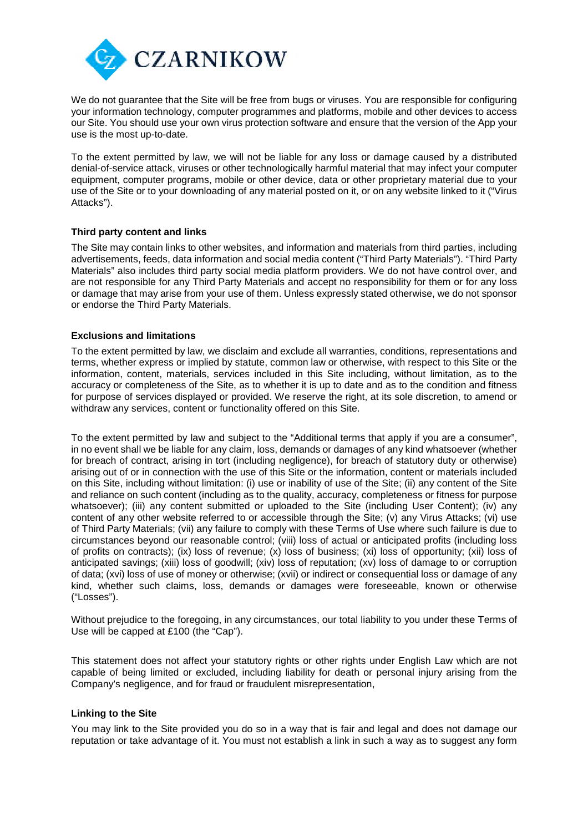

We do not quarantee that the Site will be free from bugs or viruses. You are responsible for configuring your information technology, computer programmes and platforms, mobile and other devices to access our Site. You should use your own virus protection software and ensure that the version of the App your use is the most up-to-date.

To the extent permitted by law, we will not be liable for any loss or damage caused by a distributed denial-of-service attack, viruses or other technologically harmful material that may infect your computer equipment, computer programs, mobile or other device, data or other proprietary material due to your use of the Site or to your downloading of any material posted on it, or on any website linked to it ("Virus Attacks").

# **Third party content and links**

The Site may contain links to other websites, and information and materials from third parties, including advertisements, feeds, data information and social media content ("Third Party Materials"). "Third Party Materials" also includes third party social media platform providers. We do not have control over, and are not responsible for any Third Party Materials and accept no responsibility for them or for any loss or damage that may arise from your use of them. Unless expressly stated otherwise, we do not sponsor or endorse the Third Party Materials.

# **Exclusions and limitations**

To the extent permitted by law, we disclaim and exclude all warranties, conditions, representations and terms, whether express or implied by statute, common law or otherwise, with respect to this Site or the information, content, materials, services included in this Site including, without limitation, as to the accuracy or completeness of the Site, as to whether it is up to date and as to the condition and fitness for purpose of services displayed or provided. We reserve the right, at its sole discretion, to amend or withdraw any services, content or functionality offered on this Site.

To the extent permitted by law and subject to the "Additional terms that apply if you are a consumer", in no event shall we be liable for any claim, loss, demands or damages of any kind whatsoever (whether for breach of contract, arising in tort (including negligence), for breach of statutory duty or otherwise) arising out of or in connection with the use of this Site or the information, content or materials included on this Site, including without limitation: (i) use or inability of use of the Site; (ii) any content of the Site and reliance on such content (including as to the quality, accuracy, completeness or fitness for purpose whatsoever); (iii) any content submitted or uploaded to the Site (including User Content); (iv) any content of any other website referred to or accessible through the Site; (v) any Virus Attacks; (vi) use of Third Party Materials; (vii) any failure to comply with these Terms of Use where such failure is due to circumstances beyond our reasonable control; (viii) loss of actual or anticipated profits (including loss of profits on contracts); (ix) loss of revenue; (x) loss of business; (xi) loss of opportunity; (xii) loss of anticipated savings; (xiii) loss of goodwill; (xiv) loss of reputation; (xv) loss of damage to or corruption of data; (xvi) loss of use of money or otherwise; (xvii) or indirect or consequential loss or damage of any kind, whether such claims, loss, demands or damages were foreseeable, known or otherwise ("Losses").

Without prejudice to the foregoing, in any circumstances, our total liability to you under these Terms of Use will be capped at £100 (the "Cap").

This statement does not affect your statutory rights or other rights under English Law which are not capable of being limited or excluded, including liability for death or personal injury arising from the Company's negligence, and for fraud or fraudulent misrepresentation,

### **Linking to the Site**

You may link to the Site provided you do so in a way that is fair and legal and does not damage our reputation or take advantage of it. You must not establish a link in such a way as to suggest any form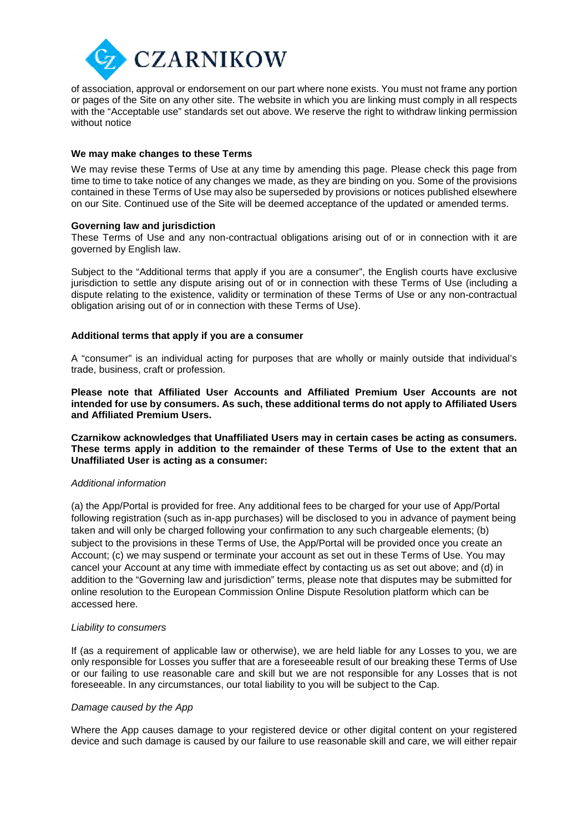

of association, approval or endorsement on our part where none exists. You must not frame any portion or pages of the Site on any other site. The website in which you are linking must comply in all respects with the "Acceptable use" standards set out above. We reserve the right to withdraw linking permission without notice

## **We may make changes to these Terms**

We may revise these Terms of Use at any time by amending this page. Please check this page from time to time to take notice of any changes we made, as they are binding on you. Some of the provisions contained in these Terms of Use may also be superseded by provisions or notices published elsewhere on our Site. Continued use of the Site will be deemed acceptance of the updated or amended terms.

### **Governing law and jurisdiction**

These Terms of Use and any non-contractual obligations arising out of or in connection with it are governed by English law.

Subject to the "Additional terms that apply if you are a consumer", the English courts have exclusive jurisdiction to settle any dispute arising out of or in connection with these Terms of Use (including a dispute relating to the existence, validity or termination of these Terms of Use or any non-contractual obligation arising out of or in connection with these Terms of Use).

### **Additional terms that apply if you are a consumer**

A "consumer" is an individual acting for purposes that are wholly or mainly outside that individual's trade, business, craft or profession.

**Please note that Affiliated User Accounts and Affiliated Premium User Accounts are not intended for use by consumers. As such, these additional terms do not apply to Affiliated Users and Affiliated Premium Users.**

**Czarnikow acknowledges that Unaffiliated Users may in certain cases be acting as consumers. These terms apply in addition to the remainder of these Terms of Use to the extent that an Unaffiliated User is acting as a consumer:**

### *Additional information*

(a) the App/Portal is provided for free. Any additional fees to be charged for your use of App/Portal following registration (such as in-app purchases) will be disclosed to you in advance of payment being taken and will only be charged following your confirmation to any such chargeable elements; (b) subject to the provisions in these Terms of Use, the App/Portal will be provided once you create an Account; (c) we may suspend or terminate your account as set out in these Terms of Use. You may cancel your Account at any time with immediate effect by contacting us as set out above; and (d) in addition to the "Governing law and jurisdiction" terms, please note that disputes may be submitted for online resolution to the European Commission Online Dispute Resolution platform which can be accessed here.

#### *Liability to consumers*

If (as a requirement of applicable law or otherwise), we are held liable for any Losses to you, we are only responsible for Losses you suffer that are a foreseeable result of our breaking these Terms of Use or our failing to use reasonable care and skill but we are not responsible for any Losses that is not foreseeable. In any circumstances, our total liability to you will be subject to the Cap.

#### *Damage caused by the App*

Where the App causes damage to your registered device or other digital content on your registered device and such damage is caused by our failure to use reasonable skill and care, we will either repair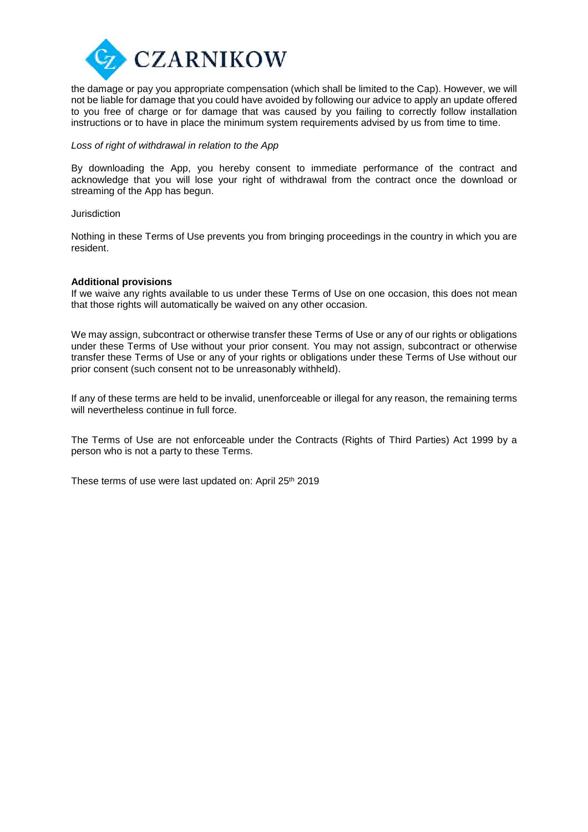

the damage or pay you appropriate compensation (which shall be limited to the Cap). However, we will not be liable for damage that you could have avoided by following our advice to apply an update offered to you free of charge or for damage that was caused by you failing to correctly follow installation instructions or to have in place the minimum system requirements advised by us from time to time.

## *Loss of right of withdrawal in relation to the App*

By downloading the App, you hereby consent to immediate performance of the contract and acknowledge that you will lose your right of withdrawal from the contract once the download or streaming of the App has begun.

#### Jurisdiction

Nothing in these Terms of Use prevents you from bringing proceedings in the country in which you are resident.

#### **Additional provisions**

If we waive any rights available to us under these Terms of Use on one occasion, this does not mean that those rights will automatically be waived on any other occasion.

We may assign, subcontract or otherwise transfer these Terms of Use or any of our rights or obligations under these Terms of Use without your prior consent. You may not assign, subcontract or otherwise transfer these Terms of Use or any of your rights or obligations under these Terms of Use without our prior consent (such consent not to be unreasonably withheld).

If any of these terms are held to be invalid, unenforceable or illegal for any reason, the remaining terms will nevertheless continue in full force.

The Terms of Use are not enforceable under the Contracts (Rights of Third Parties) Act 1999 by a person who is not a party to these Terms.

These terms of use were last updated on: April 25<sup>th</sup> 2019